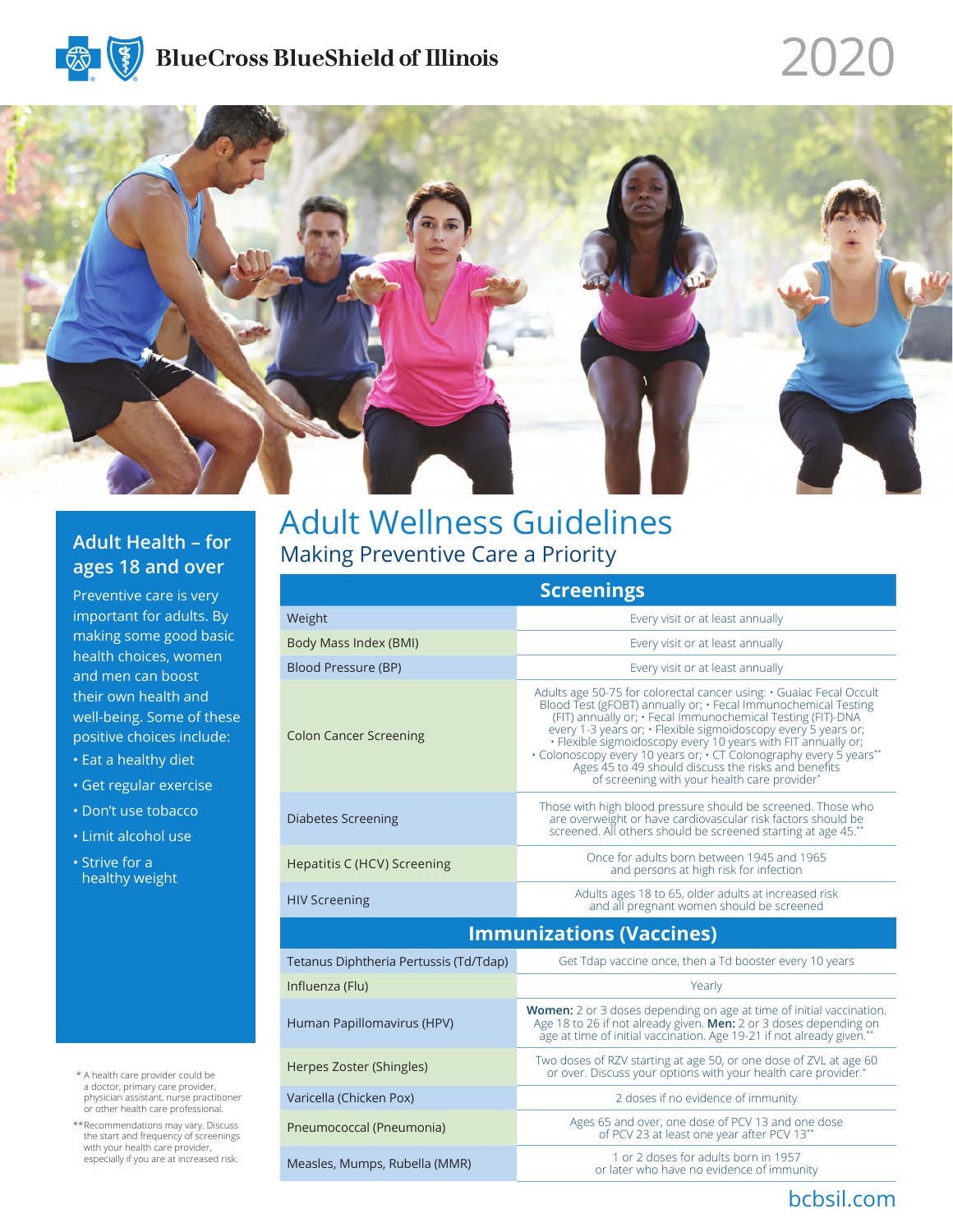

# 2020

bcbsil.com



### **Adult Health – for ages 18 and over**

Preventive care is very important for adults. By making some good basic health choices, women and men can boost their own health and well-being. Some of these positive choices include:

- Eat a healthy diet
- Get regular exercise
- Don't use tobacco
- Limit alcohol use
- Strive for a healthy weight

- \* A health care provider could be a doctor, primary care provider, physician assistant, nurse practitioner or other health care professional.
- \*\*Recommendations may vary. Discuss the start and frequency of screenings with your health care provider, especially if you are at increased risk.

## Adult Wellness Guidelines Making Preventive Care a Priority

| <b>Screenings</b>                      |                                                                                                                                                                                                                                                                                                                                                                                                                                                                                                                      |  |
|----------------------------------------|----------------------------------------------------------------------------------------------------------------------------------------------------------------------------------------------------------------------------------------------------------------------------------------------------------------------------------------------------------------------------------------------------------------------------------------------------------------------------------------------------------------------|--|
| Weight                                 | Every visit or at least annually                                                                                                                                                                                                                                                                                                                                                                                                                                                                                     |  |
| Body Mass Index (BMI)                  | Every visit or at least annually                                                                                                                                                                                                                                                                                                                                                                                                                                                                                     |  |
| Blood Pressure (BP)                    | Every visit or at least annually                                                                                                                                                                                                                                                                                                                                                                                                                                                                                     |  |
| <b>Colon Cancer Screening</b>          | Adults age 50-75 for colorectal cancer using: • Guaiac Fecal Occult<br>Blood Test (gFOBT) annually or; · Fecal Immunochemical Testing<br>(FIT) annually or; • Fecal Immunochemical Testing (FIT)-DNA<br>every 1-3 years or; • Flexible sigmoidoscopy every 5 years or;<br>· Flexible sigmoidoscopy every 10 years with FIT annually or;<br>• Colonoscopy every 10 years or; • CT Colonography every 5 years**<br>Ages 45 to 49 should discuss the risks and benefits<br>of screening with your health care provider* |  |
| <b>Diabetes Screening</b>              | Those with high blood pressure should be screened. Those who<br>are overweight or have cardiovascular risk factors should be<br>screened. All others should be screened starting at age 45.**                                                                                                                                                                                                                                                                                                                        |  |
| Hepatitis C (HCV) Screening            | Once for adults born between 1945 and 1965<br>and persons at high risk for infection                                                                                                                                                                                                                                                                                                                                                                                                                                 |  |
| <b>HIV Screening</b>                   | Adults ages 18 to 65, older adults at increased risk<br>and all pregnant women should be screened                                                                                                                                                                                                                                                                                                                                                                                                                    |  |
| <b>Immunizations (Vaccines)</b>        |                                                                                                                                                                                                                                                                                                                                                                                                                                                                                                                      |  |
| Tetanus Diphtheria Pertussis (Td/Tdap) | Get Tdap vaccine once, then a Td booster every 10 years                                                                                                                                                                                                                                                                                                                                                                                                                                                              |  |
| Influenza (Flu)                        | Yearly                                                                                                                                                                                                                                                                                                                                                                                                                                                                                                               |  |
| Human Papillomavirus (HPV)             | Women: 2 or 3 doses depending on age at time of initial vaccination.<br>Age 18 to 26 if not already given. Men: 2 or 3 doses depending on<br>age at time of initial vaccination. Age 19-21 if not already given."                                                                                                                                                                                                                                                                                                    |  |
| Herpes Zoster (Shingles)               | Two doses of RZV starting at age 50, or one dose of ZVL at age 60<br>or over. Discuss your options with your health care provider.*                                                                                                                                                                                                                                                                                                                                                                                  |  |
| Varicella (Chicken Pox)                | 2 doses if no evidence of immunity                                                                                                                                                                                                                                                                                                                                                                                                                                                                                   |  |
| Pneumococcal (Pneumonia)               | Ages 65 and over, one dose of PCV 13 and one dose<br>of PCV 23 at least one year after PCV 13**                                                                                                                                                                                                                                                                                                                                                                                                                      |  |
| Measles, Mumps, Rubella (MMR)          | 1 or 2 doses for adults born in 1957<br>or later who have no evidence of immunity                                                                                                                                                                                                                                                                                                                                                                                                                                    |  |